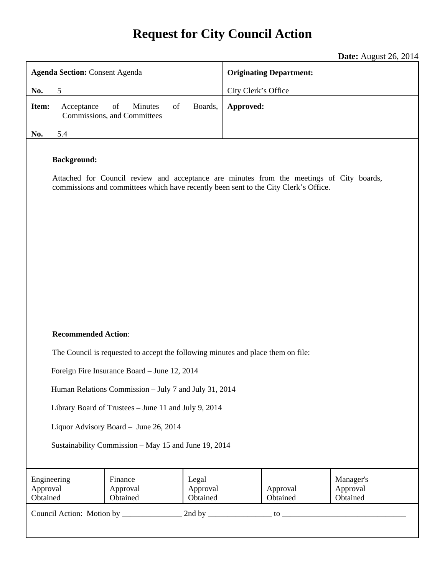# **Request for City Council Action**

**Date:** August 26, 2014

| <b>Agenda Section: Consent Agenda</b>                                                                                                                                                                  |                                                    |                               | <b>Originating Department:</b>                            |  |  |
|--------------------------------------------------------------------------------------------------------------------------------------------------------------------------------------------------------|----------------------------------------------------|-------------------------------|-----------------------------------------------------------|--|--|
| 5<br>No.                                                                                                                                                                                               |                                                    |                               | City Clerk's Office                                       |  |  |
| Item:<br>Acceptance                                                                                                                                                                                    | Minutes<br>of<br>of<br>Commissions, and Committees | Boards,                       | Approved:                                                 |  |  |
| No.<br>5.4                                                                                                                                                                                             |                                                    |                               |                                                           |  |  |
| <b>Background:</b><br>Attached for Council review and acceptance are minutes from the meetings of City boards,<br>commissions and committees which have recently been sent to the City Clerk's Office. |                                                    |                               |                                                           |  |  |
| <b>Recommended Action:</b>                                                                                                                                                                             |                                                    |                               |                                                           |  |  |
| The Council is requested to accept the following minutes and place them on file:                                                                                                                       |                                                    |                               |                                                           |  |  |
| Foreign Fire Insurance Board - June 12, 2014                                                                                                                                                           |                                                    |                               |                                                           |  |  |
| Human Relations Commission - July 7 and July 31, 2014                                                                                                                                                  |                                                    |                               |                                                           |  |  |
| Library Board of Trustees - June 11 and July 9, 2014                                                                                                                                                   |                                                    |                               |                                                           |  |  |
| Liquor Advisory Board - June 26, 2014                                                                                                                                                                  |                                                    |                               |                                                           |  |  |
| Sustainability Commission - May 15 and June 19, 2014                                                                                                                                                   |                                                    |                               |                                                           |  |  |
| Engineering<br>Approval<br>Obtained                                                                                                                                                                    | Finance<br>Approval<br>Obtained                    | Legal<br>Approval<br>Obtained | Manager's<br>Approval<br>Approval<br>Obtained<br>Obtained |  |  |
|                                                                                                                                                                                                        |                                                    |                               |                                                           |  |  |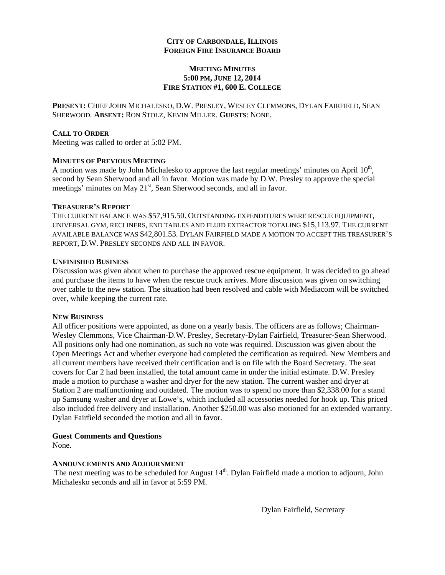#### **CITY OF CARBONDALE, ILLINOIS FOREIGN FIRE INSURANCE BOARD**

#### **MEETING MINUTES 5:00 PM, JUNE 12, 2014 FIRE STATION #1, 600 E. COLLEGE**

**PRESENT:** CHIEF JOHN MICHALESKO, D.W. PRESLEY, WESLEY CLEMMONS, DYLAN FAIRFIELD, SEAN SHERWOOD. **ABSENT:** RON STOLZ, KEVIN MILLER. **GUESTS**: NONE.

#### **CALL TO ORDER**

Meeting was called to order at 5:02 PM.

#### **MINUTES OF PREVIOUS MEETING**

A motion was made by John Michalesko to approve the last regular meetings' minutes on April  $10<sup>th</sup>$ , second by Sean Sherwood and all in favor. Motion was made by D.W. Presley to approve the special meetings' minutes on May 21<sup>st</sup>, Sean Sherwood seconds, and all in favor.

#### **TREASURER'S REPORT**

THE CURRENT BALANCE WAS \$57,915.50. OUTSTANDING EXPENDITURES WERE RESCUE EQUIPMENT, UNIVERSAL GYM, RECLINERS, END TABLES AND FLUID EXTRACTOR TOTALING \$15,113.97. THE CURRENT AVAILABLE BALANCE WAS \$42,801.53. DYLAN FAIRFIELD MADE A MOTION TO ACCEPT THE TREASURER'S REPORT, D.W. PRESLEY SECONDS AND ALL IN FAVOR.

#### **UNFINISHED BUSINESS**

Discussion was given about when to purchase the approved rescue equipment. It was decided to go ahead and purchase the items to have when the rescue truck arrives. More discussion was given on switching over cable to the new station. The situation had been resolved and cable with Mediacom will be switched over, while keeping the current rate.

#### **NEW BUSINESS**

All officer positions were appointed, as done on a yearly basis. The officers are as follows; Chairman-Wesley Clemmons, Vice Chairman-D.W. Presley, Secretary-Dylan Fairfield, Treasurer-Sean Sherwood. All positions only had one nomination, as such no vote was required. Discussion was given about the Open Meetings Act and whether everyone had completed the certification as required. New Members and all current members have received their certification and is on file with the Board Secretary. The seat covers for Car 2 had been installed, the total amount came in under the initial estimate. D.W. Presley made a motion to purchase a washer and dryer for the new station. The current washer and dryer at Station 2 are malfunctioning and outdated. The motion was to spend no more than \$2,338.00 for a stand up Samsung washer and dryer at Lowe's, which included all accessories needed for hook up. This priced also included free delivery and installation. Another \$250.00 was also motioned for an extended warranty. Dylan Fairfield seconded the motion and all in favor.

#### **Guest Comments and Questions**

None.

#### **ANNOUNCEMENTS AND ADJOURNMENT**

The next meeting was to be scheduled for August  $14<sup>th</sup>$ . Dylan Fairfield made a motion to adjourn, John Michalesko seconds and all in favor at 5:59 PM.

Dylan Fairfield, Secretary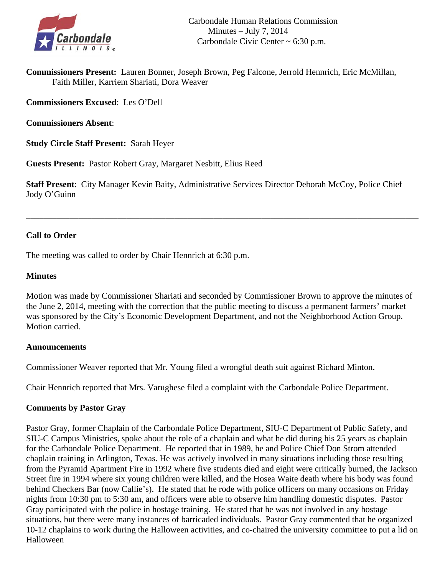

**Commissioners Present:** Lauren Bonner, Joseph Brown, Peg Falcone, Jerrold Hennrich, Eric McMillan, Faith Miller, Karriem Shariati, Dora Weaver

**Commissioners Excused**: Les O'Dell

**Commissioners Absent**:

**Study Circle Staff Present:** Sarah Heyer

**Guests Present:** Pastor Robert Gray, Margaret Nesbitt, Elius Reed

**Staff Present**: City Manager Kevin Baity, Administrative Services Director Deborah McCoy, Police Chief Jody O'Guinn

\_\_\_\_\_\_\_\_\_\_\_\_\_\_\_\_\_\_\_\_\_\_\_\_\_\_\_\_\_\_\_\_\_\_\_\_\_\_\_\_\_\_\_\_\_\_\_\_\_\_\_\_\_\_\_\_\_\_\_\_\_\_\_\_\_\_\_\_\_\_\_\_\_\_\_\_\_\_\_\_\_\_\_\_\_\_\_\_\_\_

### **Call to Order**

The meeting was called to order by Chair Hennrich at 6:30 p.m.

### **Minutes**

Motion was made by Commissioner Shariati and seconded by Commissioner Brown to approve the minutes of the June 2, 2014, meeting with the correction that the public meeting to discuss a permanent farmers' market was sponsored by the City's Economic Development Department, and not the Neighborhood Action Group. Motion carried.

### **Announcements**

Commissioner Weaver reported that Mr. Young filed a wrongful death suit against Richard Minton.

Chair Hennrich reported that Mrs. Varughese filed a complaint with the Carbondale Police Department.

### **Comments by Pastor Gray**

Pastor Gray, former Chaplain of the Carbondale Police Department, SIU-C Department of Public Safety, and SIU-C Campus Ministries, spoke about the role of a chaplain and what he did during his 25 years as chaplain for the Carbondale Police Department. He reported that in 1989, he and Police Chief Don Strom attended chaplain training in Arlington, Texas. He was actively involved in many situations including those resulting from the Pyramid Apartment Fire in 1992 where five students died and eight were critically burned, the Jackson Street fire in 1994 where six young children were killed, and the Hosea Waite death where his body was found behind Checkers Bar (now Callie's). He stated that he rode with police officers on many occasions on Friday nights from 10:30 pm to 5:30 am, and officers were able to observe him handling domestic disputes. Pastor Gray participated with the police in hostage training. He stated that he was not involved in any hostage situations, but there were many instances of barricaded individuals. Pastor Gray commented that he organized 10-12 chaplains to work during the Halloween activities, and co-chaired the university committee to put a lid on Halloween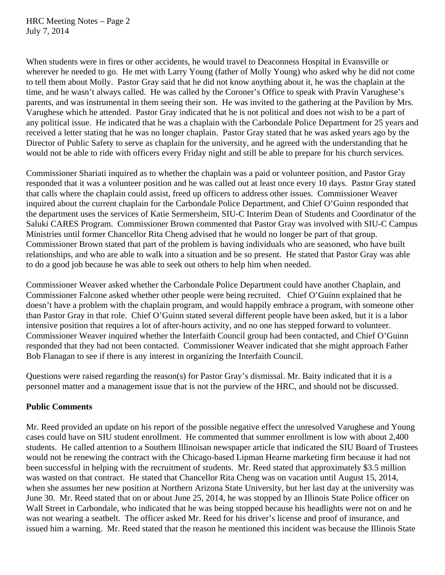When students were in fires or other accidents, he would travel to Deaconness Hospital in Evansville or wherever he needed to go. He met with Larry Young (father of Molly Young) who asked why he did not come to tell them about Molly. Pastor Gray said that he did not know anything about it, he was the chaplain at the time, and he wasn't always called. He was called by the Coroner's Office to speak with Pravin Varughese's parents, and was instrumental in them seeing their son. He was invited to the gathering at the Pavilion by Mrs. Varughese which he attended. Pastor Gray indicated that he is not political and does not wish to be a part of any political issue. He indicated that he was a chaplain with the Carbondale Police Department for 25 years and received a letter stating that he was no longer chaplain. Pastor Gray stated that he was asked years ago by the Director of Public Safety to serve as chaplain for the university, and he agreed with the understanding that he would not be able to ride with officers every Friday night and still be able to prepare for his church services.

Commissioner Shariati inquired as to whether the chaplain was a paid or volunteer position, and Pastor Gray responded that it was a volunteer position and he was called out at least once every 10 days. Pastor Gray stated that calls where the chaplain could assist, freed up officers to address other issues. Commissioner Weaver inquired about the current chaplain for the Carbondale Police Department, and Chief O'Guinn responded that the department uses the services of Katie Sermersheim, SIU-C Interim Dean of Students and Coordinator of the Saluki CARES Program. Commissioner Brown commented that Pastor Gray was involved with SIU-C Campus Ministries until former Chancellor Rita Cheng advised that he would no longer be part of that group. Commissioner Brown stated that part of the problem is having individuals who are seasoned, who have built relationships, and who are able to walk into a situation and be so present. He stated that Pastor Gray was able to do a good job because he was able to seek out others to help him when needed.

Commissioner Weaver asked whether the Carbondale Police Department could have another Chaplain, and Commissioner Falcone asked whether other people were being recruited. Chief O'Guinn explained that he doesn't have a problem with the chaplain program, and would happily embrace a program, with someone other than Pastor Gray in that role. Chief O'Guinn stated several different people have been asked, but it is a labor intensive position that requires a lot of after-hours activity, and no one has stepped forward to volunteer. Commissioner Weaver inquired whether the Interfaith Council group had been contacted, and Chief O'Guinn responded that they had not been contacted. Commissioner Weaver indicated that she might approach Father Bob Flanagan to see if there is any interest in organizing the Interfaith Council.

Questions were raised regarding the reason(s) for Pastor Gray's dismissal. Mr. Baity indicated that it is a personnel matter and a management issue that is not the purview of the HRC, and should not be discussed.

### **Public Comments**

Mr. Reed provided an update on his report of the possible negative effect the unresolved Varughese and Young cases could have on SIU student enrollment. He commented that summer enrollment is low with about 2,400 students. He called attention to a Southern Illinoisan newspaper article that indicated the SIU Board of Trustees would not be renewing the contract with the Chicago-based Lipman Hearne marketing firm because it had not been successful in helping with the recruitment of students. Mr. Reed stated that approximately \$3.5 million was wasted on that contract. He stated that Chancellor Rita Cheng was on vacation until August 15, 2014, when she assumes her new position at Northern Arizona State University, but her last day at the university was June 30. Mr. Reed stated that on or about June 25, 2014, he was stopped by an Illinois State Police officer on Wall Street in Carbondale, who indicated that he was being stopped because his headlights were not on and he was not wearing a seatbelt. The officer asked Mr. Reed for his driver's license and proof of insurance, and issued him a warning. Mr. Reed stated that the reason he mentioned this incident was because the Illinois State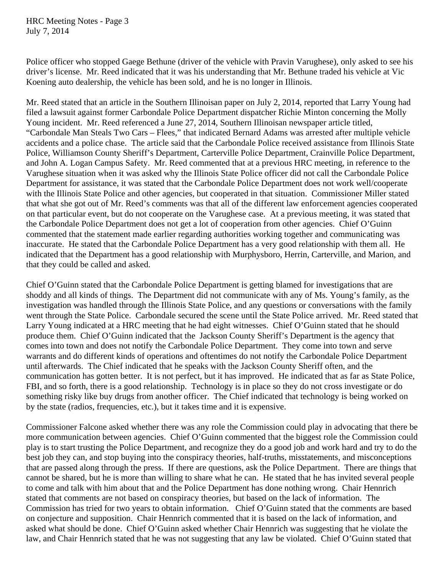HRC Meeting Notes - Page 3 July 7, 2014

Police officer who stopped Gaege Bethune (driver of the vehicle with Pravin Varughese), only asked to see his driver's license. Mr. Reed indicated that it was his understanding that Mr. Bethune traded his vehicle at Vic Koening auto dealership, the vehicle has been sold, and he is no longer in Illinois.

Mr. Reed stated that an article in the Southern Illinoisan paper on July 2, 2014, reported that Larry Young had filed a lawsuit against former Carbondale Police Department dispatcher Richie Minton concerning the Molly Young incident. Mr. Reed referenced a June 27, 2014, Southern Illinoisan newspaper article titled, "Carbondale Man Steals Two Cars – Flees," that indicated Bernard Adams was arrested after multiple vehicle accidents and a police chase. The article said that the Carbondale Police received assistance from Illinois State Police, Williamson County Sheriff's Department, Carterville Police Department, Crainville Police Department, and John A. Logan Campus Safety. Mr. Reed commented that at a previous HRC meeting, in reference to the Varughese situation when it was asked why the Illinois State Police officer did not call the Carbondale Police Department for assistance, it was stated that the Carbondale Police Department does not work well/cooperate with the Illinois State Police and other agencies, but cooperated in that situation. Commissioner Miller stated that what she got out of Mr. Reed's comments was that all of the different law enforcement agencies cooperated on that particular event, but do not cooperate on the Varughese case. At a previous meeting, it was stated that the Carbondale Police Department does not get a lot of cooperation from other agencies. Chief O'Guinn commented that the statement made earlier regarding authorities working together and communicating was inaccurate. He stated that the Carbondale Police Department has a very good relationship with them all. He indicated that the Department has a good relationship with Murphysboro, Herrin, Carterville, and Marion, and that they could be called and asked.

Chief O'Guinn stated that the Carbondale Police Department is getting blamed for investigations that are shoddy and all kinds of things. The Department did not communicate with any of Ms. Young's family, as the investigation was handled through the Illinois State Police, and any questions or conversations with the family went through the State Police. Carbondale secured the scene until the State Police arrived. Mr. Reed stated that Larry Young indicated at a HRC meeting that he had eight witnesses. Chief O'Guinn stated that he should produce them. Chief O'Guinn indicated that the Jackson County Sheriff's Department is the agency that comes into town and does not notify the Carbondale Police Department. They come into town and serve warrants and do different kinds of operations and oftentimes do not notify the Carbondale Police Department until afterwards. The Chief indicated that he speaks with the Jackson County Sheriff often, and the communication has gotten better. It is not perfect, but it has improved. He indicated that as far as State Police, FBI, and so forth, there is a good relationship. Technology is in place so they do not cross investigate or do something risky like buy drugs from another officer. The Chief indicated that technology is being worked on by the state (radios, frequencies, etc.), but it takes time and it is expensive.

Commissioner Falcone asked whether there was any role the Commission could play in advocating that there be more communication between agencies. Chief O'Guinn commented that the biggest role the Commission could play is to start trusting the Police Department, and recognize they do a good job and work hard and try to do the best job they can, and stop buying into the conspiracy theories, half-truths, misstatements, and misconceptions that are passed along through the press. If there are questions, ask the Police Department. There are things that cannot be shared, but he is more than willing to share what he can. He stated that he has invited several people to come and talk with him about that and the Police Department has done nothing wrong. Chair Hennrich stated that comments are not based on conspiracy theories, but based on the lack of information. The Commission has tried for two years to obtain information. Chief O'Guinn stated that the comments are based on conjecture and supposition. Chair Hennrich commented that it is based on the lack of information, and asked what should be done. Chief O'Guinn asked whether Chair Hennrich was suggesting that he violate the law, and Chair Hennrich stated that he was not suggesting that any law be violated. Chief O'Guinn stated that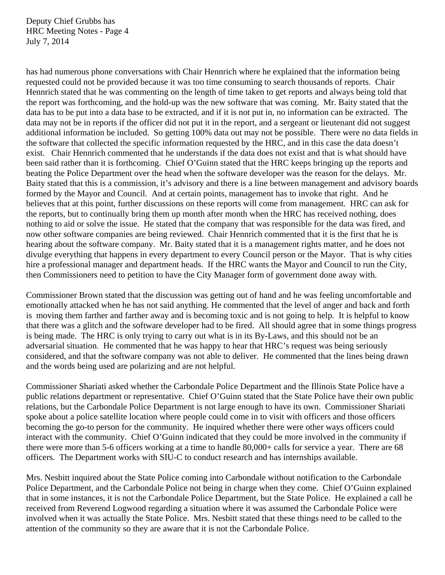Deputy Chief Grubbs has HRC Meeting Notes - Page 4 July 7, 2014

has had numerous phone conversations with Chair Hennrich where he explained that the information being requested could not be provided because it was too time consuming to search thousands of reports. Chair Hennrich stated that he was commenting on the length of time taken to get reports and always being told that the report was forthcoming, and the hold-up was the new software that was coming. Mr. Baity stated that the data has to be put into a data base to be extracted, and if it is not put in, no information can be extracted. The data may not be in reports if the officer did not put it in the report, and a sergeant or lieutenant did not suggest additional information be included. So getting 100% data out may not be possible. There were no data fields in the software that collected the specific information requested by the HRC, and in this case the data doesn't exist. Chair Hennrich commented that he understands if the data does not exist and that is what should have been said rather than it is forthcoming. Chief O'Guinn stated that the HRC keeps bringing up the reports and beating the Police Department over the head when the software developer was the reason for the delays. Mr. Baity stated that this is a commission, it's advisory and there is a line between management and advisory boards formed by the Mayor and Council. And at certain points, management has to invoke that right. And he believes that at this point, further discussions on these reports will come from management. HRC can ask for the reports, but to continually bring them up month after month when the HRC has received nothing, does nothing to aid or solve the issue. He stated that the company that was responsible for the data was fired, and now other software companies are being reviewed. Chair Hennrich commented that it is the first that he is hearing about the software company. Mr. Baity stated that it is a management rights matter, and he does not divulge everything that happens in every department to every Council person or the Mayor. That is why cities hire a professional manager and department heads. If the HRC wants the Mayor and Council to run the City, then Commissioners need to petition to have the City Manager form of government done away with.

Commissioner Brown stated that the discussion was getting out of hand and he was feeling uncomfortable and emotionally attacked when he has not said anything. He commented that the level of anger and back and forth is moving them farther and farther away and is becoming toxic and is not going to help. It is helpful to know that there was a glitch and the software developer had to be fired. All should agree that in some things progress is being made. The HRC is only trying to carry out what is in its By-Laws, and this should not be an adversarial situation. He commented that he was happy to hear that HRC's request was being seriously considered, and that the software company was not able to deliver. He commented that the lines being drawn and the words being used are polarizing and are not helpful.

Commissioner Shariati asked whether the Carbondale Police Department and the Illinois State Police have a public relations department or representative. Chief O'Guinn stated that the State Police have their own public relations, but the Carbondale Police Department is not large enough to have its own. Commissioner Shariati spoke about a police satellite location where people could come in to visit with officers and those officers becoming the go-to person for the community. He inquired whether there were other ways officers could interact with the community. Chief O'Guinn indicated that they could be more involved in the community if there were more than 5-6 officers working at a time to handle 80,000+ calls for service a year. There are 68 officers. The Department works with SIU-C to conduct research and has internships available.

Mrs. Nesbitt inquired about the State Police coming into Carbondale without notification to the Carbondale Police Department, and the Carbondale Police not being in charge when they come. Chief O'Guinn explained that in some instances, it is not the Carbondale Police Department, but the State Police. He explained a call he received from Reverend Logwood regarding a situation where it was assumed the Carbondale Police were involved when it was actually the State Police. Mrs. Nesbitt stated that these things need to be called to the attention of the community so they are aware that it is not the Carbondale Police.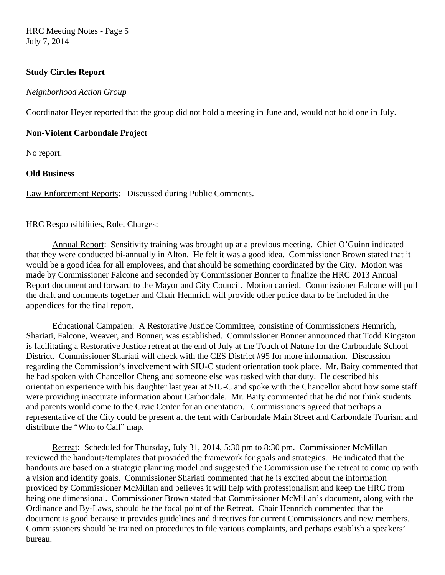HRC Meeting Notes - Page 5 July 7, 2014

### **Study Circles Report**

#### *Neighborhood Action Group*

Coordinator Heyer reported that the group did not hold a meeting in June and, would not hold one in July.

#### **Non-Violent Carbondale Project**

No report.

### **Old Business**

Law Enforcement Reports: Discussed during Public Comments.

### HRC Responsibilities, Role, Charges:

 Annual Report: Sensitivity training was brought up at a previous meeting. Chief O'Guinn indicated that they were conducted bi-annually in Alton. He felt it was a good idea. Commissioner Brown stated that it would be a good idea for all employees, and that should be something coordinated by the City. Motion was made by Commissioner Falcone and seconded by Commissioner Bonner to finalize the HRC 2013 Annual Report document and forward to the Mayor and City Council. Motion carried. Commissioner Falcone will pull the draft and comments together and Chair Hennrich will provide other police data to be included in the appendices for the final report.

 Educational Campaign: A Restorative Justice Committee, consisting of Commissioners Hennrich, Shariati, Falcone, Weaver, and Bonner, was established. Commissioner Bonner announced that Todd Kingston is facilitating a Restorative Justice retreat at the end of July at the Touch of Nature for the Carbondale School District. Commissioner Shariati will check with the CES District #95 for more information. Discussion regarding the Commission's involvement with SIU-C student orientation took place. Mr. Baity commented that he had spoken with Chancellor Cheng and someone else was tasked with that duty. He described his orientation experience with his daughter last year at SIU-C and spoke with the Chancellor about how some staff were providing inaccurate information about Carbondale. Mr. Baity commented that he did not think students and parents would come to the Civic Center for an orientation. Commissioners agreed that perhaps a representative of the City could be present at the tent with Carbondale Main Street and Carbondale Tourism and distribute the "Who to Call" map.

 Retreat: Scheduled for Thursday, July 31, 2014, 5:30 pm to 8:30 pm. Commissioner McMillan reviewed the handouts/templates that provided the framework for goals and strategies. He indicated that the handouts are based on a strategic planning model and suggested the Commission use the retreat to come up with a vision and identify goals. Commissioner Shariati commented that he is excited about the information provided by Commissioner McMillan and believes it will help with professionalism and keep the HRC from being one dimensional. Commissioner Brown stated that Commissioner McMillan's document, along with the Ordinance and By-Laws, should be the focal point of the Retreat. Chair Hennrich commented that the document is good because it provides guidelines and directives for current Commissioners and new members. Commissioners should be trained on procedures to file various complaints, and perhaps establish a speakers' bureau.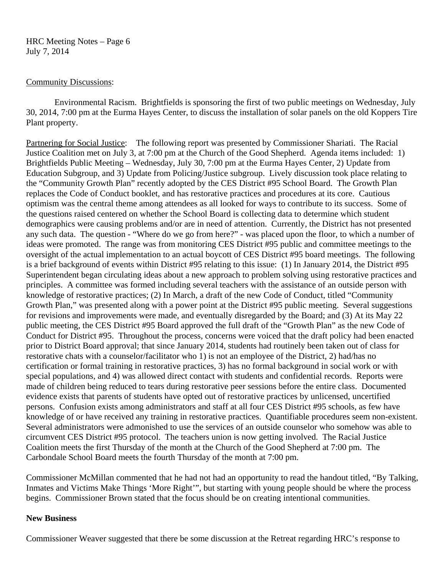### HRC Meeting Notes – Page 6 July 7, 2014

### Community Discussions:

 Environmental Racism. Brightfields is sponsoring the first of two public meetings on Wednesday, July 30, 2014, 7:00 pm at the Eurma Hayes Center, to discuss the installation of solar panels on the old Koppers Tire Plant property.

Partnering for Social Justice: The following report was presented by Commissioner Shariati. The Racial Justice Coalition met on July 3, at 7:00 pm at the Church of the Good Shepherd. Agenda items included: 1) Brightfields Public Meeting – Wednesday, July 30, 7:00 pm at the Eurma Hayes Center, 2) Update from Education Subgroup, and 3) Update from Policing/Justice subgroup. Lively discussion took place relating to the "Community Growth Plan" recently adopted by the CES District #95 School Board. The Growth Plan replaces the Code of Conduct booklet, and has restorative practices and procedures at its core. Cautious optimism was the central theme among attendees as all looked for ways to contribute to its success. Some of the questions raised centered on whether the School Board is collecting data to determine which student demographics were causing problems and/or are in need of attention. Currently, the District has not presented any such data. The question - "Where do we go from here?" - was placed upon the floor, to which a number of ideas were promoted. The range was from monitoring CES District #95 public and committee meetings to the oversight of the actual implementation to an actual boycott of CES District #95 board meetings. The following is a brief background of events within District #95 relating to this issue: (1) In January 2014, the District #95 Superintendent began circulating ideas about a new approach to problem solving using restorative practices and principles. A committee was formed including several teachers with the assistance of an outside person with knowledge of restorative practices; (2) In March, a draft of the new Code of Conduct, titled "Community Growth Plan," was presented along with a power point at the District #95 public meeting. Several suggestions for revisions and improvements were made, and eventually disregarded by the Board; and (3) At its May 22 public meeting, the CES District #95 Board approved the full draft of the "Growth Plan" as the new Code of Conduct for District #95. Throughout the process, concerns were voiced that the draft policy had been enacted prior to District Board approval; that since January 2014, students had routinely been taken out of class for restorative chats with a counselor/facilitator who 1) is not an employee of the District, 2) had/has no certification or formal training in restorative practices, 3) has no formal background in social work or with special populations, and 4) was allowed direct contact with students and confidential records. Reports were made of children being reduced to tears during restorative peer sessions before the entire class. Documented evidence exists that parents of students have opted out of restorative practices by unlicensed, uncertified persons. Confusion exists among administrators and staff at all four CES District #95 schools, as few have knowledge of or have received any training in restorative practices. Quantifiable procedures seem non-existent. Several administrators were admonished to use the services of an outside counselor who somehow was able to circumvent CES District #95 protocol. The teachers union is now getting involved. The Racial Justice Coalition meets the first Thursday of the month at the Church of the Good Shepherd at 7:00 pm. The Carbondale School Board meets the fourth Thursday of the month at 7:00 pm.

Commissioner McMillan commented that he had not had an opportunity to read the handout titled, "By Talking, Inmates and Victims Make Things 'More Right'", but starting with young people should be where the process begins. Commissioner Brown stated that the focus should be on creating intentional communities.

### **New Business**

Commissioner Weaver suggested that there be some discussion at the Retreat regarding HRC's response to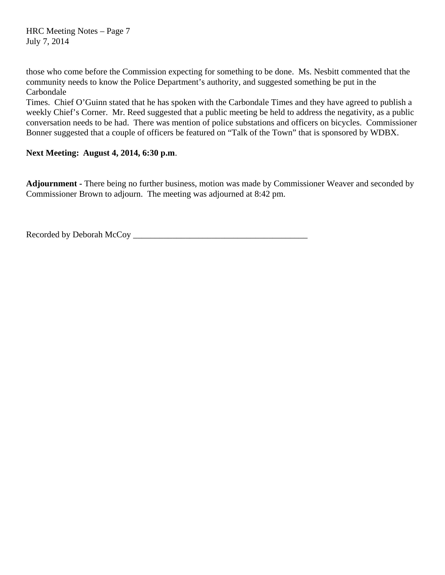those who come before the Commission expecting for something to be done. Ms. Nesbitt commented that the community needs to know the Police Department's authority, and suggested something be put in the Carbondale

Times. Chief O'Guinn stated that he has spoken with the Carbondale Times and they have agreed to publish a weekly Chief's Corner. Mr. Reed suggested that a public meeting be held to address the negativity, as a public conversation needs to be had. There was mention of police substations and officers on bicycles. Commissioner Bonner suggested that a couple of officers be featured on "Talk of the Town" that is sponsored by WDBX.

### **Next Meeting: August 4, 2014, 6:30 p.m**.

**Adjournment -** There being no further business, motion was made by Commissioner Weaver and seconded by Commissioner Brown to adjourn. The meeting was adjourned at 8:42 pm.

Recorded by Deborah McCoy \_\_\_\_\_\_\_\_\_\_\_\_\_\_\_\_\_\_\_\_\_\_\_\_\_\_\_\_\_\_\_\_\_\_\_\_\_\_\_\_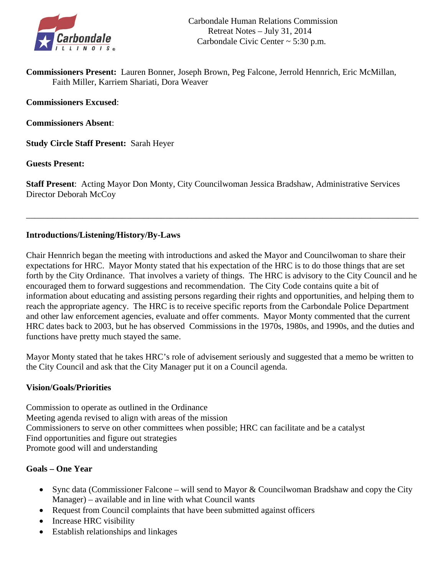

**Commissioners Present:** Lauren Bonner, Joseph Brown, Peg Falcone, Jerrold Hennrich, Eric McMillan, Faith Miller, Karriem Shariati, Dora Weaver

**Commissioners Excused**:

**Commissioners Absent**:

**Study Circle Staff Present:** Sarah Heyer

**Guests Present:**

**Staff Present**: Acting Mayor Don Monty, City Councilwoman Jessica Bradshaw, Administrative Services Director Deborah McCoy

\_\_\_\_\_\_\_\_\_\_\_\_\_\_\_\_\_\_\_\_\_\_\_\_\_\_\_\_\_\_\_\_\_\_\_\_\_\_\_\_\_\_\_\_\_\_\_\_\_\_\_\_\_\_\_\_\_\_\_\_\_\_\_\_\_\_\_\_\_\_\_\_\_\_\_\_\_\_\_\_\_\_\_\_\_\_\_\_\_\_

### **Introductions/Listening/History/By-Laws**

Chair Hennrich began the meeting with introductions and asked the Mayor and Councilwoman to share their expectations for HRC. Mayor Monty stated that his expectation of the HRC is to do those things that are set forth by the City Ordinance. That involves a variety of things. The HRC is advisory to the City Council and he encouraged them to forward suggestions and recommendation. The City Code contains quite a bit of information about educating and assisting persons regarding their rights and opportunities, and helping them to reach the appropriate agency. The HRC is to receive specific reports from the Carbondale Police Department and other law enforcement agencies, evaluate and offer comments. Mayor Monty commented that the current HRC dates back to 2003, but he has observed Commissions in the 1970s, 1980s, and 1990s, and the duties and functions have pretty much stayed the same.

Mayor Monty stated that he takes HRC's role of advisement seriously and suggested that a memo be written to the City Council and ask that the City Manager put it on a Council agenda.

### **Vision/Goals/Priorities**

Commission to operate as outlined in the Ordinance Meeting agenda revised to align with areas of the mission Commissioners to serve on other committees when possible; HRC can facilitate and be a catalyst Find opportunities and figure out strategies Promote good will and understanding

#### **Goals – One Year**

- Sync data (Commissioner Falcone will send to Mayor  $&$  Councilwoman Bradshaw and copy the City Manager) – available and in line with what Council wants
- Request from Council complaints that have been submitted against officers
- Increase HRC visibility
- Establish relationships and linkages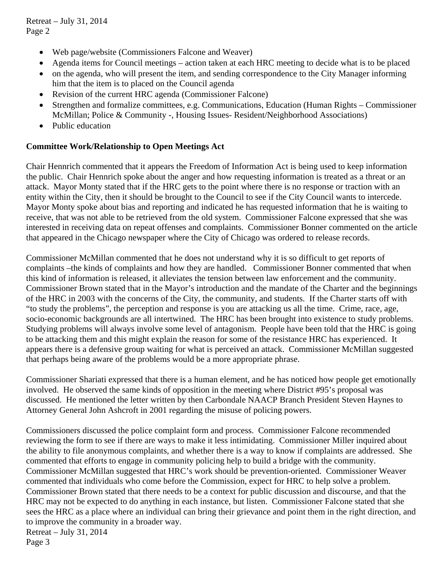Retreat – July 31, 2014 Page 2

- Web page/website (Commissioners Falcone and Weaver)
- Agenda items for Council meetings action taken at each HRC meeting to decide what is to be placed
- on the agenda, who will present the item, and sending correspondence to the City Manager informing him that the item is to placed on the Council agenda
- Revision of the current HRC agenda (Commissioner Falcone)
- Strengthen and formalize committees, e.g. Communications, Education (Human Rights Commissioner McMillan; Police & Community -, Housing Issues- Resident/Neighborhood Associations)
- Public education

### **Committee Work/Relationship to Open Meetings Act**

Chair Hennrich commented that it appears the Freedom of Information Act is being used to keep information the public. Chair Hennrich spoke about the anger and how requesting information is treated as a threat or an attack. Mayor Monty stated that if the HRC gets to the point where there is no response or traction with an entity within the City, then it should be brought to the Council to see if the City Council wants to intercede. Mayor Monty spoke about bias and reporting and indicated he has requested information that he is waiting to receive, that was not able to be retrieved from the old system. Commissioner Falcone expressed that she was interested in receiving data on repeat offenses and complaints. Commissioner Bonner commented on the article that appeared in the Chicago newspaper where the City of Chicago was ordered to release records.

Commissioner McMillan commented that he does not understand why it is so difficult to get reports of complaints –the kinds of complaints and how they are handled. Commissioner Bonner commented that when this kind of information is released, it alleviates the tension between law enforcement and the community. Commissioner Brown stated that in the Mayor's introduction and the mandate of the Charter and the beginnings of the HRC in 2003 with the concerns of the City, the community, and students. If the Charter starts off with "to study the problems", the perception and response is you are attacking us all the time. Crime, race, age, socio-economic backgrounds are all intertwined. The HRC has been brought into existence to study problems. Studying problems will always involve some level of antagonism. People have been told that the HRC is going to be attacking them and this might explain the reason for some of the resistance HRC has experienced. It appears there is a defensive group waiting for what is perceived an attack. Commissioner McMillan suggested that perhaps being aware of the problems would be a more appropriate phrase.

Commissioner Shariati expressed that there is a human element, and he has noticed how people get emotionally involved. He observed the same kinds of opposition in the meeting where District #95's proposal was discussed. He mentioned the letter written by then Carbondale NAACP Branch President Steven Haynes to Attorney General John Ashcroft in 2001 regarding the misuse of policing powers.

Commissioners discussed the police complaint form and process. Commissioner Falcone recommended reviewing the form to see if there are ways to make it less intimidating. Commissioner Miller inquired about the ability to file anonymous complaints, and whether there is a way to know if complaints are addressed. She commented that efforts to engage in community policing help to build a bridge with the community. Commissioner McMillan suggested that HRC's work should be prevention-oriented. Commissioner Weaver commented that individuals who come before the Commission, expect for HRC to help solve a problem. Commissioner Brown stated that there needs to be a context for public discussion and discourse, and that the HRC may not be expected to do anything in each instance, but listen. Commissioner Falcone stated that she sees the HRC as a place where an individual can bring their grievance and point them in the right direction, and to improve the community in a broader way. Retreat – July 31, 2014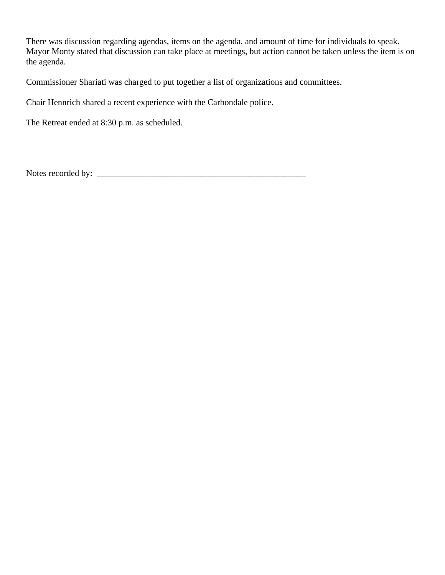There was discussion regarding agendas, items on the agenda, and amount of time for individuals to speak. Mayor Monty stated that discussion can take place at meetings, but action cannot be taken unless the item is on the agenda.

Commissioner Shariati was charged to put together a list of organizations and committees.

Chair Hennrich shared a recent experience with the Carbondale police.

The Retreat ended at 8:30 p.m. as scheduled.

Notes recorded by: \_\_\_\_\_\_\_\_\_\_\_\_\_\_\_\_\_\_\_\_\_\_\_\_\_\_\_\_\_\_\_\_\_\_\_\_\_\_\_\_\_\_\_\_\_\_\_\_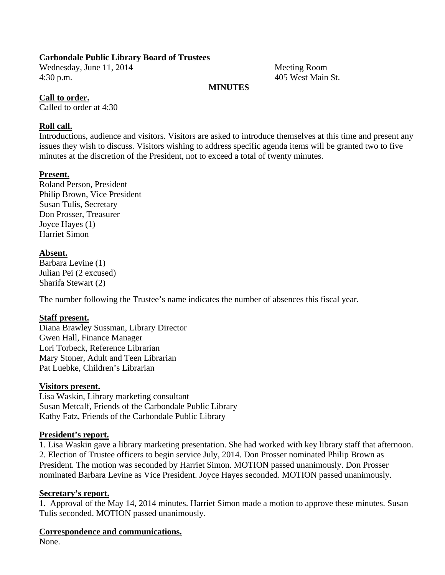### **Carbondale Public Library Board of Trustees**

Wednesday, June 11, 2014 Meeting Room 4:30 p.m. 405 West Main St.

### **MINUTES**

### **Call to order.**

Called to order at 4:30

### **Roll call.**

Introductions, audience and visitors. Visitors are asked to introduce themselves at this time and present any issues they wish to discuss. Visitors wishing to address specific agenda items will be granted two to five minutes at the discretion of the President, not to exceed a total of twenty minutes.

### **Present.**

Roland Person, President Philip Brown, Vice President Susan Tulis, Secretary Don Prosser, Treasurer Joyce Hayes (1) Harriet Simon

### **Absent.**

Barbara Levine (1) Julian Pei (2 excused) Sharifa Stewart (2)

The number following the Trustee's name indicates the number of absences this fiscal year.

### **Staff present.**

Diana Brawley Sussman, Library Director Gwen Hall, Finance Manager Lori Torbeck, Reference Librarian Mary Stoner, Adult and Teen Librarian Pat Luebke, Children's Librarian

### **Visitors present.**

Lisa Waskin, Library marketing consultant Susan Metcalf, Friends of the Carbondale Public Library Kathy Fatz, Friends of the Carbondale Public Library

### **President's report.**

1. Lisa Waskin gave a library marketing presentation. She had worked with key library staff that afternoon. 2. Election of Trustee officers to begin service July, 2014. Don Prosser nominated Philip Brown as President. The motion was seconded by Harriet Simon. MOTION passed unanimously. Don Prosser nominated Barbara Levine as Vice President. Joyce Hayes seconded. MOTION passed unanimously.

### **Secretary's report.**

1. Approval of the May 14, 2014 minutes. Harriet Simon made a motion to approve these minutes. Susan Tulis seconded. MOTION passed unanimously.

### **Correspondence and communications.**

None.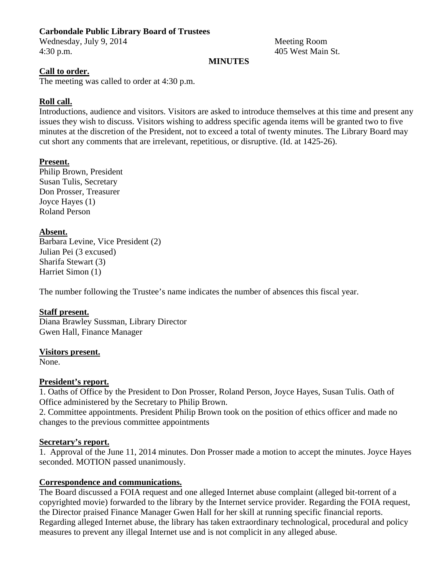### **Carbondale Public Library Board of Trustees**

Wednesday, July 9, 2014 Meeting Room 4:30 p.m. 405 West Main St.

### **MINUTES**

### **Call to order.**

The meeting was called to order at 4:30 p.m.

### **Roll call.**

Introductions, audience and visitors. Visitors are asked to introduce themselves at this time and present any issues they wish to discuss. Visitors wishing to address specific agenda items will be granted two to five minutes at the discretion of the President, not to exceed a total of twenty minutes. The Library Board may cut short any comments that are irrelevant, repetitious, or disruptive. (Id. at 1425-26).

### **Present.**

Philip Brown, President Susan Tulis, Secretary Don Prosser, Treasurer Joyce Hayes (1) Roland Person

### **Absent.**

Barbara Levine, Vice President (2) Julian Pei (3 excused) Sharifa Stewart (3) Harriet Simon (1)

The number following the Trustee's name indicates the number of absences this fiscal year.

### **Staff present.**

Diana Brawley Sussman, Library Director Gwen Hall, Finance Manager

### **Visitors present.**

None.

### **President's report.**

1. Oaths of Office by the President to Don Prosser, Roland Person, Joyce Hayes, Susan Tulis. Oath of Office administered by the Secretary to Philip Brown.

2. Committee appointments. President Philip Brown took on the position of ethics officer and made no changes to the previous committee appointments

### **Secretary's report.**

1. Approval of the June 11, 2014 minutes. Don Prosser made a motion to accept the minutes. Joyce Hayes seconded. MOTION passed unanimously.

### **Correspondence and communications.**

The Board discussed a FOIA request and one alleged Internet abuse complaint (alleged bit-torrent of a copyrighted movie) forwarded to the library by the Internet service provider. Regarding the FOIA request, the Director praised Finance Manager Gwen Hall for her skill at running specific financial reports. Regarding alleged Internet abuse, the library has taken extraordinary technological, procedural and policy measures to prevent any illegal Internet use and is not complicit in any alleged abuse.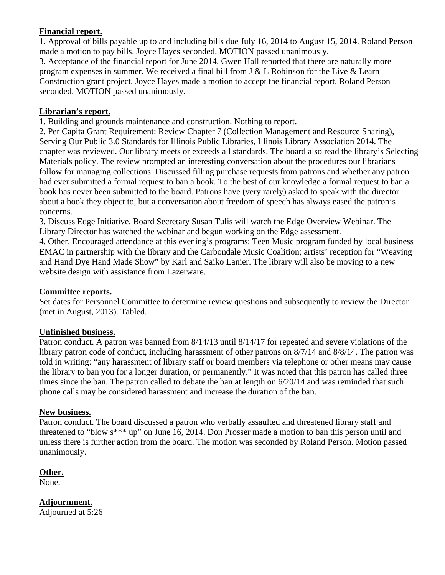### **Financial report.**

1. Approval of bills payable up to and including bills due July 16, 2014 to August 15, 2014. Roland Person made a motion to pay bills. Joyce Hayes seconded. MOTION passed unanimously. 3. Acceptance of the financial report for June 2014. Gwen Hall reported that there are naturally more

program expenses in summer. We received a final bill from J & L Robinson for the Live & Learn Construction grant project. Joyce Hayes made a motion to accept the financial report. Roland Person seconded. MOTION passed unanimously.

### **Librarian's report.**

1. Building and grounds maintenance and construction. Nothing to report.

2. Per Capita Grant Requirement: Review Chapter 7 (Collection Management and Resource Sharing), Serving Our Public 3.0 Standards for Illinois Public Libraries, Illinois Library Association 2014. The chapter was reviewed. Our library meets or exceeds all standards. The board also read the library's Selecting Materials policy. The review prompted an interesting conversation about the procedures our librarians follow for managing collections. Discussed filling purchase requests from patrons and whether any patron had ever submitted a formal request to ban a book. To the best of our knowledge a formal request to ban a book has never been submitted to the board. Patrons have (very rarely) asked to speak with the director about a book they object to, but a conversation about freedom of speech has always eased the patron's concerns.

3. Discuss Edge Initiative. Board Secretary Susan Tulis will watch the Edge Overview Webinar. The Library Director has watched the webinar and begun working on the Edge assessment.

4. Other. Encouraged attendance at this evening's programs: Teen Music program funded by local business EMAC in partnership with the library and the Carbondale Music Coalition; artists' reception for "Weaving and Hand Dye Hand Made Show" by Karl and Saiko Lanier. The library will also be moving to a new website design with assistance from Lazerware.

### **Committee reports.**

Set dates for Personnel Committee to determine review questions and subsequently to review the Director (met in August, 2013). Tabled.

### **Unfinished business.**

Patron conduct. A patron was banned from 8/14/13 until 8/14/17 for repeated and severe violations of the library patron code of conduct, including harassment of other patrons on 8/7/14 and 8/8/14. The patron was told in writing: "any harassment of library staff or board members via telephone or other means may cause the library to ban you for a longer duration, or permanently." It was noted that this patron has called three times since the ban. The patron called to debate the ban at length on 6/20/14 and was reminded that such phone calls may be considered harassment and increase the duration of the ban.

### **New business.**

Patron conduct. The board discussed a patron who verbally assaulted and threatened library staff and threatened to "blow s\*\*\* up" on June 16, 2014. Don Prosser made a motion to ban this person until and unless there is further action from the board. The motion was seconded by Roland Person. Motion passed unanimously.

### **Other.**

None.

**Adjournment.**  Adjourned at 5:26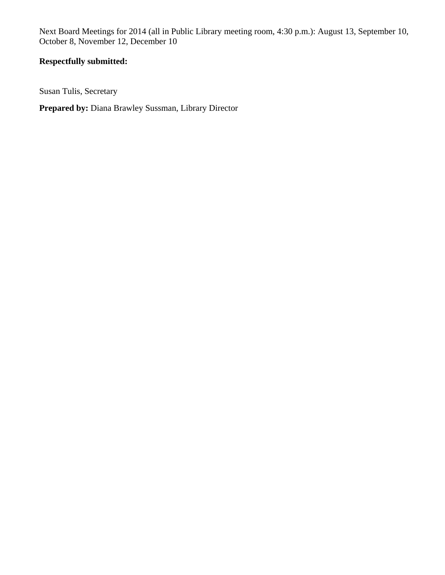Next Board Meetings for 2014 (all in Public Library meeting room, 4:30 p.m.): August 13, September 10, October 8, November 12, December 10

### **Respectfully submitted:**

Susan Tulis, Secretary

**Prepared by:** Diana Brawley Sussman, Library Director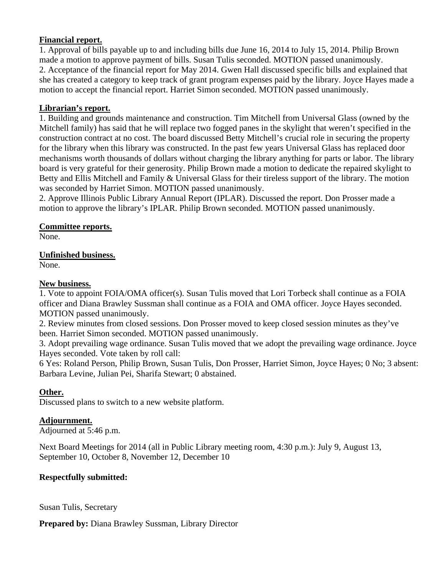### **Financial report.**

1. Approval of bills payable up to and including bills due June 16, 2014 to July 15, 2014. Philip Brown made a motion to approve payment of bills. Susan Tulis seconded. MOTION passed unanimously. 2. Acceptance of the financial report for May 2014. Gwen Hall discussed specific bills and explained that she has created a category to keep track of grant program expenses paid by the library. Joyce Hayes made a motion to accept the financial report. Harriet Simon seconded. MOTION passed unanimously.

### **Librarian's report.**

1. Building and grounds maintenance and construction. Tim Mitchell from Universal Glass (owned by the Mitchell family) has said that he will replace two fogged panes in the skylight that weren't specified in the construction contract at no cost. The board discussed Betty Mitchell's crucial role in securing the property for the library when this library was constructed. In the past few years Universal Glass has replaced door mechanisms worth thousands of dollars without charging the library anything for parts or labor. The library board is very grateful for their generosity. Philip Brown made a motion to dedicate the repaired skylight to Betty and Ellis Mitchell and Family & Universal Glass for their tireless support of the library. The motion was seconded by Harriet Simon. MOTION passed unanimously.

2. Approve Illinois Public Library Annual Report (IPLAR). Discussed the report. Don Prosser made a motion to approve the library's IPLAR. Philip Brown seconded. MOTION passed unanimously.

### **Committee reports.**

None.

**Unfinished business.** 

None.

### **New business.**

1. Vote to appoint FOIA/OMA officer(s). Susan Tulis moved that Lori Torbeck shall continue as a FOIA officer and Diana Brawley Sussman shall continue as a FOIA and OMA officer. Joyce Hayes seconded. MOTION passed unanimously.

2. Review minutes from closed sessions. Don Prosser moved to keep closed session minutes as they've been. Harriet Simon seconded. MOTION passed unanimously.

3. Adopt prevailing wage ordinance. Susan Tulis moved that we adopt the prevailing wage ordinance. Joyce Hayes seconded. Vote taken by roll call:

6 Yes: Roland Person, Philip Brown, Susan Tulis, Don Prosser, Harriet Simon, Joyce Hayes; 0 No; 3 absent: Barbara Levine, Julian Pei, Sharifa Stewart; 0 abstained.

### **Other.**

Discussed plans to switch to a new website platform.

### **Adjournment.**

Adjourned at 5:46 p.m.

Next Board Meetings for 2014 (all in Public Library meeting room, 4:30 p.m.): July 9, August 13, September 10, October 8, November 12, December 10

### **Respectfully submitted:**

Susan Tulis, Secretary

**Prepared by:** Diana Brawley Sussman, Library Director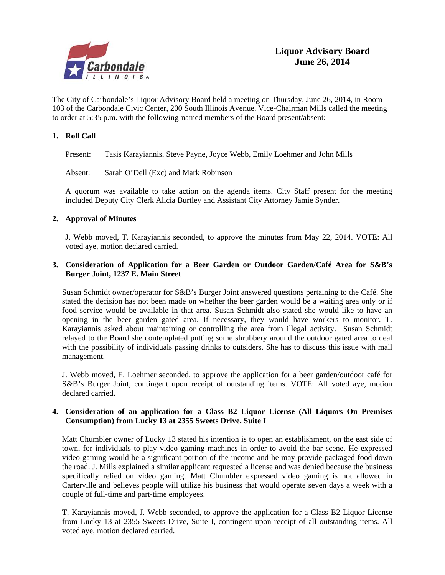

The City of Carbondale's Liquor Advisory Board held a meeting on Thursday, June 26, 2014, in Room 103 of the Carbondale Civic Center, 200 South Illinois Avenue. Vice-Chairman Mills called the meeting to order at 5:35 p.m. with the following-named members of the Board present/absent:

#### **1. Roll Call**

Present: Tasis Karayiannis, Steve Payne, Joyce Webb, Emily Loehmer and John Mills

Absent: Sarah O'Dell (Exc) and Mark Robinson

A quorum was available to take action on the agenda items. City Staff present for the meeting included Deputy City Clerk Alicia Burtley and Assistant City Attorney Jamie Synder.

#### **2. Approval of Minutes**

J. Webb moved, T. Karayiannis seconded, to approve the minutes from May 22, 2014. VOTE: All voted aye, motion declared carried.

#### **3. Consideration of Application for a Beer Garden or Outdoor Garden/Café Area for S&B's Burger Joint, 1237 E. Main Street**

Susan Schmidt owner/operator for S&B's Burger Joint answered questions pertaining to the Café. She stated the decision has not been made on whether the beer garden would be a waiting area only or if food service would be available in that area. Susan Schmidt also stated she would like to have an opening in the beer garden gated area. If necessary, they would have workers to monitor. T. Karayiannis asked about maintaining or controlling the area from illegal activity. Susan Schmidt relayed to the Board she contemplated putting some shrubbery around the outdoor gated area to deal with the possibility of individuals passing drinks to outsiders. She has to discuss this issue with mall management.

J. Webb moved, E. Loehmer seconded, to approve the application for a beer garden/outdoor café for S&B's Burger Joint, contingent upon receipt of outstanding items. VOTE: All voted aye, motion declared carried.

#### **4. Consideration of an application for a Class B2 Liquor License (All Liquors On Premises Consumption) from Lucky 13 at 2355 Sweets Drive, Suite I**

Matt Chumbler owner of Lucky 13 stated his intention is to open an establishment, on the east side of town, for individuals to play video gaming machines in order to avoid the bar scene. He expressed video gaming would be a significant portion of the income and he may provide packaged food down the road. J. Mills explained a similar applicant requested a license and was denied because the business specifically relied on video gaming. Matt Chumbler expressed video gaming is not allowed in Carterville and believes people will utilize his business that would operate seven days a week with a couple of full-time and part-time employees.

T. Karayiannis moved, J. Webb seconded, to approve the application for a Class B2 Liquor License from Lucky 13 at 2355 Sweets Drive, Suite I, contingent upon receipt of all outstanding items. All voted aye, motion declared carried.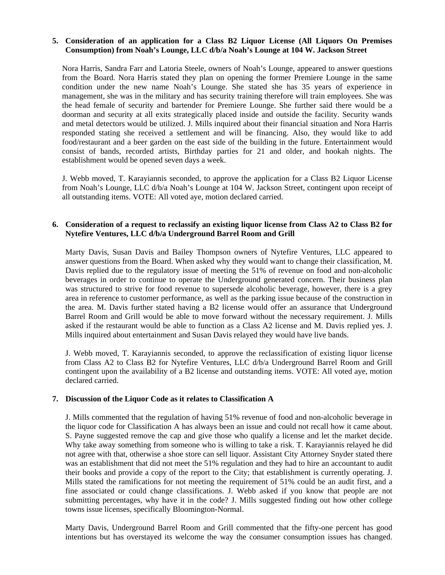#### **5. Consideration of an application for a Class B2 Liquor License (All Liquors On Premises Consumption) from Noah's Lounge, LLC d/b/a Noah's Lounge at 104 W. Jackson Street**

Nora Harris, Sandra Farr and Latoria Steele, owners of Noah's Lounge, appeared to answer questions from the Board. Nora Harris stated they plan on opening the former Premiere Lounge in the same condition under the new name Noah's Lounge. She stated she has 35 years of experience in management, she was in the military and has security training therefore will train employees. She was the head female of security and bartender for Premiere Lounge. She further said there would be a doorman and security at all exits strategically placed inside and outside the facility. Security wands and metal detectors would be utilized. J. Mills inquired about their financial situation and Nora Harris responded stating she received a settlement and will be financing. Also, they would like to add food/restaurant and a beer garden on the east side of the building in the future. Entertainment would consist of bands, recorded artists, Birthday parties for 21 and older, and hookah nights. The establishment would be opened seven days a week.

J. Webb moved, T. Karayiannis seconded, to approve the application for a Class B2 Liquor License from Noah's Lounge, LLC d/b/a Noah's Lounge at 104 W. Jackson Street, contingent upon receipt of all outstanding items. VOTE: All voted aye, motion declared carried.

#### **6. Consideration of a request to reclassify an existing liquor license from Class A2 to Class B2 for Nytefire Ventures, LLC d/b/a Underground Barrel Room and Grill**

 Marty Davis, Susan Davis and Bailey Thompson owners of Nytefire Ventures, LLC appeared to answer questions from the Board. When asked why they would want to change their classification, M. Davis replied due to the regulatory issue of meeting the 51% of revenue on food and non-alcoholic beverages in order to continue to operate the Underground generated concern. Their business plan was structured to strive for food revenue to supersede alcoholic beverage, however, there is a grey area in reference to customer performance, as well as the parking issue because of the construction in the area. M. Davis further stated having a B2 license would offer an assurance that Underground Barrel Room and Grill would be able to move forward without the necessary requirement. J. Mills asked if the restaurant would be able to function as a Class A2 license and M. Davis replied yes. J. Mills inquired about entertainment and Susan Davis relayed they would have live bands.

 J. Webb moved, T. Karayiannis seconded, to approve the reclassification of existing liquor license from Class A2 to Class B2 for Nytefire Ventures, LLC d/b/a Underground Barrel Room and Grill contingent upon the availability of a B2 license and outstanding items. VOTE: All voted aye, motion declared carried.

#### **7. Discussion of the Liquor Code as it relates to Classification A**

 J. Mills commented that the regulation of having 51% revenue of food and non-alcoholic beverage in the liquor code for Classification A has always been an issue and could not recall how it came about. S. Payne suggested remove the cap and give those who qualify a license and let the market decide. Why take away something from someone who is willing to take a risk. T. Karayiannis relayed he did not agree with that, otherwise a shoe store can sell liquor. Assistant City Attorney Snyder stated there was an establishment that did not meet the 51% regulation and they had to hire an accountant to audit their books and provide a copy of the report to the City; that establishment is currently operating. J. Mills stated the ramifications for not meeting the requirement of 51% could be an audit first, and a fine associated or could change classifications. J. Webb asked if you know that people are not submitting percentages, why have it in the code? J. Mills suggested finding out how other college towns issue licenses, specifically Bloomington-Normal.

 Marty Davis, Underground Barrel Room and Grill commented that the fifty-one percent has good intentions but has overstayed its welcome the way the consumer consumption issues has changed.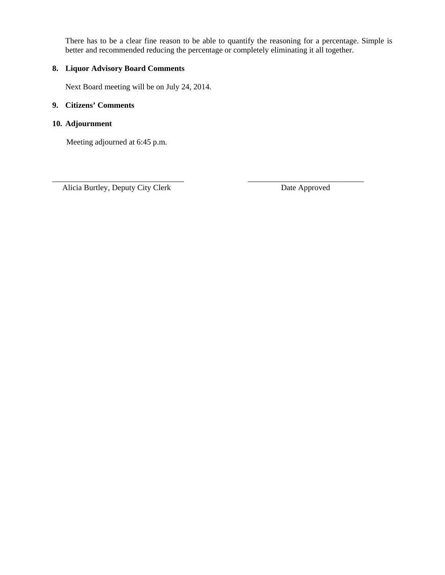There has to be a clear fine reason to be able to quantify the reasoning for a percentage. Simple is better and recommended reducing the percentage or completely eliminating it all together.

\_\_\_\_\_\_\_\_\_\_\_\_\_\_\_\_\_\_\_\_\_\_\_\_\_\_\_\_\_\_\_\_\_ \_\_\_\_\_\_\_\_\_\_\_\_\_\_\_\_\_\_\_\_\_\_\_\_\_\_\_\_\_

### **8. Liquor Advisory Board Comments**

Next Board meeting will be on July 24, 2014.

### **9. Citizens' Comments**

### **10. Adjournment**

Meeting adjourned at 6:45 p.m.

Alicia Burtley, Deputy City Clerk Date Approved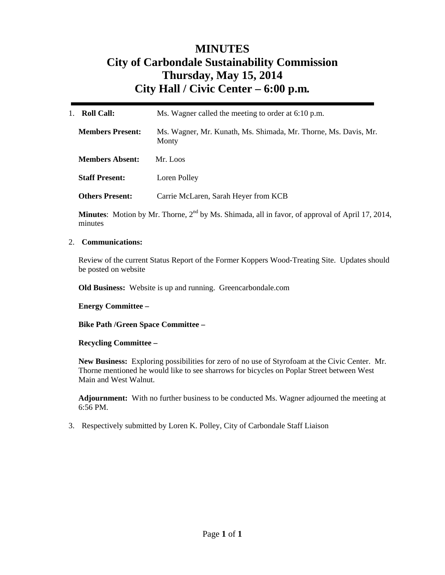# **MINUTES City of Carbondale Sustainability Commission Thursday, May 15, 2014 City Hall / Civic Center – 6:00 p.m***.*

| <b>Roll Call:</b>       | Ms. Wagner called the meeting to order at 6:10 p.m.                      |  |
|-------------------------|--------------------------------------------------------------------------|--|
| <b>Members Present:</b> | Ms. Wagner, Mr. Kunath, Ms. Shimada, Mr. Thorne, Ms. Davis, Mr.<br>Monty |  |
| <b>Members Absent:</b>  | Mr. Loos                                                                 |  |
| <b>Staff Present:</b>   | Loren Polley                                                             |  |
| <b>Others Present:</b>  | Carrie McLaren, Sarah Heyer from KCB                                     |  |
|                         |                                                                          |  |

**Minutes**: Motion by Mr. Thorne,  $2^{nd}$  by Ms. Shimada, all in favor, of approval of April 17, 2014, minutes

#### 2. **Communications:**

Review of the current Status Report of the Former Koppers Wood-Treating Site. Updates should be posted on website

**Old Business:** Website is up and running. Greencarbondale.com

**Energy Committee –** 

**Bike Path /Green Space Committee –** 

#### **Recycling Committee –**

**New Business:** Exploring possibilities for zero of no use of Styrofoam at the Civic Center. Mr. Thorne mentioned he would like to see sharrows for bicycles on Poplar Street between West Main and West Walnut.

**Adjournment:** With no further business to be conducted Ms. Wagner adjourned the meeting at 6:56 PM.

3. Respectively submitted by Loren K. Polley, City of Carbondale Staff Liaison